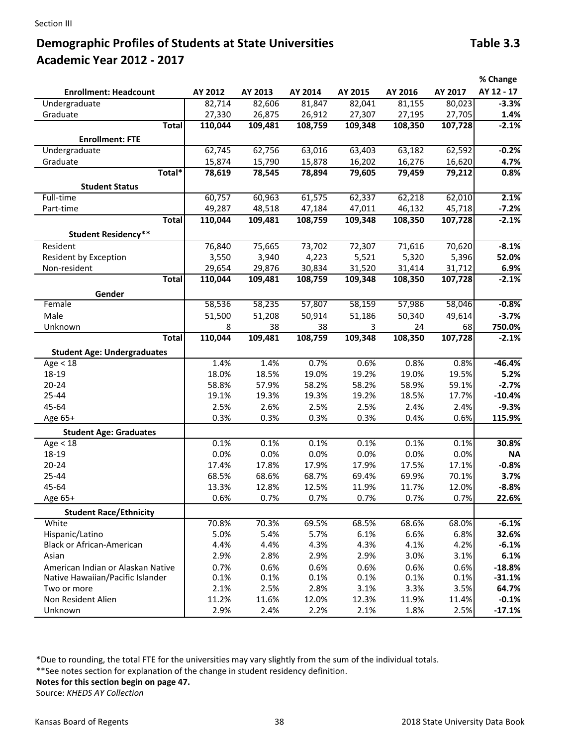## **Demographic Profiles of Students at State Universities Table 3.3** Table 3.3 **Academic Year 2012 ‐ 2017**

|                                    |         |         |         |         |         |         | % Change   |
|------------------------------------|---------|---------|---------|---------|---------|---------|------------|
| <b>Enrollment: Headcount</b>       | AY 2012 | AY 2013 | AY 2014 | AY 2015 | AY 2016 | AY 2017 | AY 12 - 17 |
| Undergraduate                      | 82,714  | 82,606  | 81,847  | 82,041  | 81,155  | 80,023  | $-3.3%$    |
| Graduate                           | 27,330  | 26,875  | 26,912  | 27,307  | 27,195  | 27,705  | 1.4%       |
| <b>Total</b>                       | 110,044 | 109,481 | 108,759 | 109,348 | 108,350 | 107,728 | $-2.1%$    |
| <b>Enrollment: FTE</b>             |         |         |         |         |         |         |            |
| Undergraduate                      | 62,745  | 62,756  | 63,016  | 63,403  | 63,182  | 62,592  | $-0.2%$    |
| Graduate                           | 15,874  | 15,790  | 15,878  | 16,202  | 16,276  | 16,620  | 4.7%       |
| Total*                             | 78,619  | 78,545  | 78,894  | 79,605  | 79,459  | 79,212  | 0.8%       |
|                                    |         |         |         |         |         |         |            |
| <b>Student Status</b><br>Full-time | 60,757  | 60,963  | 61,575  | 62,337  | 62,218  | 62,010  | 2.1%       |
| Part-time                          | 49,287  | 48,518  |         |         | 46,132  | 45,718  | $-7.2%$    |
| <b>Total</b>                       |         |         | 47,184  | 47,011  |         |         | $-2.1%$    |
|                                    | 110,044 | 109,481 | 108,759 | 109,348 | 108,350 | 107,728 |            |
| <b>Student Residency**</b>         |         |         |         |         |         |         |            |
| Resident                           | 76,840  | 75,665  | 73,702  | 72,307  | 71,616  | 70,620  | $-8.1%$    |
| Resident by Exception              | 3,550   | 3,940   | 4,223   | 5,521   | 5,320   | 5,396   | 52.0%      |
| Non-resident                       | 29,654  | 29,876  | 30,834  | 31,520  | 31,414  | 31,712  | 6.9%       |
| <b>Total</b>                       | 110,044 | 109,481 | 108,759 | 109,348 | 108,350 | 107,728 | $-2.1%$    |
| Gender                             |         |         |         |         |         |         |            |
| Female                             | 58,536  | 58,235  | 57,807  | 58,159  | 57,986  | 58,046  | $-0.8%$    |
| Male                               | 51,500  | 51,208  | 50,914  | 51,186  | 50,340  | 49,614  | $-3.7%$    |
| Unknown                            | 8       | 38      | 38      | 3       | 24      | 68      | 750.0%     |
| <b>Total</b>                       | 110,044 | 109,481 | 108,759 | 109,348 | 108,350 | 107,728 | $-2.1%$    |
|                                    |         |         |         |         |         |         |            |
| <b>Student Age: Undergraduates</b> |         |         |         |         |         |         |            |
| Age < 18                           | 1.4%    | 1.4%    | 0.7%    | 0.6%    | 0.8%    | 0.8%    | $-46.4%$   |
| 18-19                              | 18.0%   | 18.5%   | 19.0%   | 19.2%   | 19.0%   | 19.5%   | 5.2%       |
| $20 - 24$                          | 58.8%   | 57.9%   | 58.2%   | 58.2%   | 58.9%   | 59.1%   | $-2.7%$    |
| 25-44                              | 19.1%   | 19.3%   | 19.3%   | 19.2%   | 18.5%   | 17.7%   | $-10.4%$   |
| 45-64                              | 2.5%    | 2.6%    | 2.5%    | 2.5%    | 2.4%    | 2.4%    | $-9.3%$    |
| Age 65+                            | 0.3%    | 0.3%    | 0.3%    | 0.3%    | 0.4%    | 0.6%    | 115.9%     |
| <b>Student Age: Graduates</b>      |         |         |         |         |         |         |            |
| Age $\overline{<}$ 18              | 0.1%    | 0.1%    | 0.1%    | 0.1%    | 0.1%    | 0.1%    | 30.8%      |
| 18-19                              | 0.0%    | 0.0%    | 0.0%    | 0.0%    | 0.0%    | 0.0%    | <b>NA</b>  |
| $20 - 24$                          | 17.4%   | 17.8%   | 17.9%   | 17.9%   | 17.5%   | 17.1%   | $-0.8%$    |
| 25-44                              | 68.5%   | 68.6%   | 68.7%   | 69.4%   | 69.9%   | 70.1%   | 3.7%       |
| 45-64                              | 13.3%   | 12.8%   | 12.5%   | 11.9%   | 11.7%   | 12.0%   | $-8.8%$    |
| Age 65+                            | 0.6%    | 0.7%    | 0.7%    | 0.7%    | 0.7%    | 0.7%    | 22.6%      |
| <b>Student Race/Ethnicity</b>      |         |         |         |         |         |         |            |
| White                              | 70.8%   | 70.3%   | 69.5%   | 68.5%   | 68.6%   | 68.0%   | $-6.1%$    |
| Hispanic/Latino                    | 5.0%    | 5.4%    | 5.7%    | 6.1%    | 6.6%    | 6.8%    | 32.6%      |
| Black or African-American          | 4.4%    | 4.4%    | 4.3%    | 4.3%    | 4.1%    | 4.2%    | $-6.1%$    |
| Asian                              | 2.9%    | 2.8%    | 2.9%    | 2.9%    | 3.0%    | 3.1%    | 6.1%       |
| American Indian or Alaskan Native  | 0.7%    | 0.6%    | 0.6%    | 0.6%    | 0.6%    | 0.6%    | $-18.8%$   |
| Native Hawaiian/Pacific Islander   | 0.1%    | 0.1%    | 0.1%    | 0.1%    | 0.1%    | 0.1%    | $-31.1%$   |
| Two or more                        | 2.1%    | 2.5%    | 2.8%    | 3.1%    | 3.3%    | 3.5%    | 64.7%      |
| Non Resident Alien                 | 11.2%   | 11.6%   | 12.0%   | 12.3%   | 11.9%   | 11.4%   | $-0.1%$    |
| Unknown                            | 2.9%    | 2.4%    | 2.2%    | 2.1%    | 1.8%    | 2.5%    | $-17.1%$   |

\*Due to rounding, the total FTE for the universities may vary slightly from the sum of the individual totals.

\*\*See notes section for explanation of the change in student residency definition.

**Notes for this section begin on page 47.** 

Source: *KHEDS AY Collection*